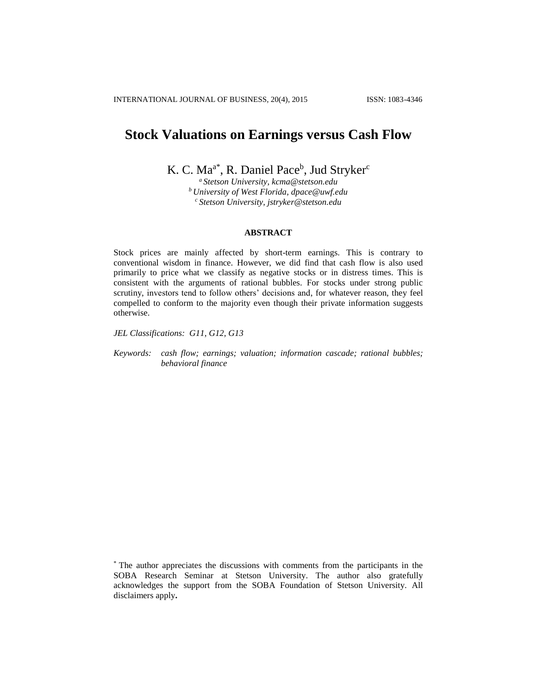# **Stock Valuations on Earnings versus Cash Flow**

K. C. Ma<sup>a\*</sup>, R. Daniel Pace<sup>b</sup>, Jud Stryker<sup>c</sup>

*<sup>a</sup> Stetson University, kcma@stetson.edu <sup>b</sup> University of West Florida, dpace@uwf.edu <sup>c</sup> Stetson University, jstryker@stetson.edu*

## **ABSTRACT**

Stock prices are mainly affected by short-term earnings. This is contrary to conventional wisdom in finance. However, we did find that cash flow is also used primarily to price what we classify as negative stocks or in distress times. This is consistent with the arguments of rational bubbles. For stocks under strong public scrutiny, investors tend to follow others' decisions and, for whatever reason, they feel compelled to conform to the majority even though their private information suggests otherwise.

*JEL Classifications: G11, G12, G13* 

*Keywords: cash flow; earnings; valuation; information cascade; rational bubbles; behavioral finance*

<sup>\*</sup> The author appreciates the discussions with comments from the participants in the SOBA Research Seminar at Stetson University. The author also gratefully acknowledges the support from the SOBA Foundation of Stetson University. All disclaimers apply**.**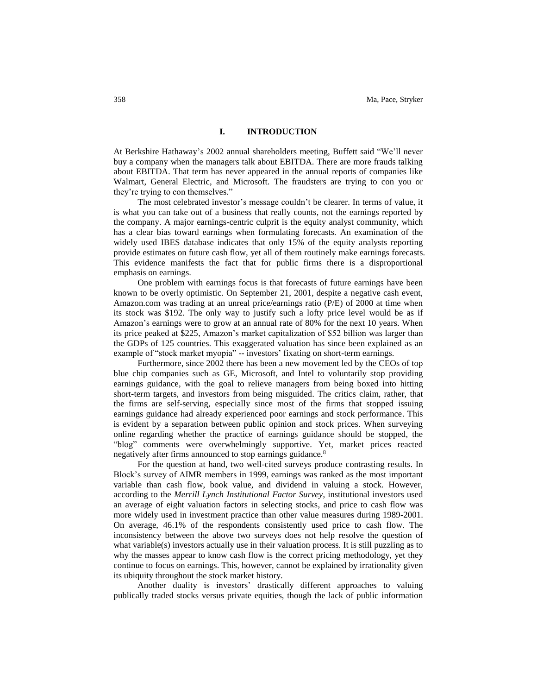# **I. INTRODUCTION**

At Berkshire Hathaway's 2002 annual shareholders meeting, Buffett said "We'll never buy a company when the managers talk about EBITDA. There are more frauds talking about EBITDA. That term has never appeared in the annual reports of companies like Walmart, General Electric, and Microsoft. The fraudsters are trying to con you or they're trying to con themselves."

The most celebrated investor's message couldn't be clearer. In terms of value, it is what you can take out of a business that really counts, not the earnings reported by the company. A major earnings-centric culprit is the equity analyst community, which has a clear bias toward earnings when formulating forecasts. An examination of the widely used IBES database indicates that only 15% of the equity analysts reporting provide estimates on future cash flow, yet all of them routinely make earnings forecasts. This evidence manifests the fact that for public firms there is a disproportional emphasis on earnings.

One problem with earnings focus is that forecasts of future earnings have been known to be overly optimistic. On September 21, 2001, despite a negative cash event, Amazon.com was trading at an unreal price/earnings ratio (P/E) of 2000 at time when its stock was \$192. The only way to justify such a lofty price level would be as if Amazon's earnings were to grow at an annual rate of 80% for the next 10 years. When its price peaked at \$225, Amazon's market capitalization of \$52 billion was larger than the GDPs of 125 countries. This exaggerated valuation has since been explained as an example of "stock market myopia" -- investors' fixating on short-term earnings.

Furthermore, since 2002 there has been a new movement led by the CEOs of top blue chip companies such as GE, Microsoft, and Intel to voluntarily stop providing earnings guidance, with the goal to relieve managers from being boxed into hitting short-term targets, and investors from being misguided. The critics claim, rather, that the firms are self-serving, especially since most of the firms that stopped issuing earnings guidance had already experienced poor earnings and stock performance. This is evident by a separation between public opinion and stock prices. When surveying online regarding whether the practice of earnings guidance should be stopped, the "blog" comments were overwhelmingly supportive. Yet, market prices reacted negatively after firms announced to stop earnings guidance.<sup>8</sup>

For the question at hand, two well-cited surveys produce contrasting results. In Block's survey of AIMR members in 1999, earnings was ranked as the most important variable than cash flow, book value, and dividend in valuing a stock. However, according to the *Merrill Lynch Institutional Factor Survey*, institutional investors used an average of eight valuation factors in selecting stocks, and price to cash flow was more widely used in investment practice than other value measures during 1989-2001. On average, 46.1% of the respondents consistently used price to cash flow. The inconsistency between the above two surveys does not help resolve the question of what variable(s) investors actually use in their valuation process. It is still puzzling as to why the masses appear to know cash flow is the correct pricing methodology, yet they continue to focus on earnings. This, however, cannot be explained by irrationality given its ubiquity throughout the stock market history.

Another duality is investors' drastically different approaches to valuing publically traded stocks versus private equities, though the lack of public information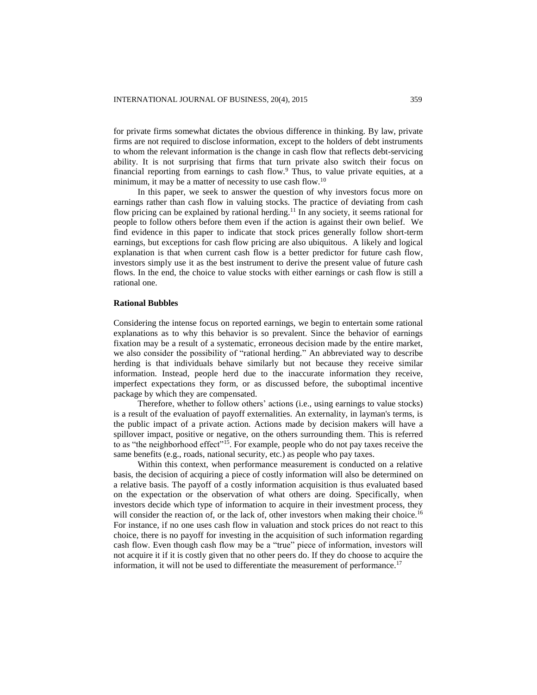for private firms somewhat dictates the obvious difference in thinking. By law, private firms are not required to disclose information, except to the holders of debt instruments to whom the relevant information is the change in cash flow that reflects debt-servicing ability. It is not surprising that firms that turn private also switch their focus on financial reporting from earnings to cash flow. $9$  Thus, to value private equities, at a minimum, it may be a matter of necessity to use cash flow.<sup>10</sup>

In this paper, we seek to answer the question of why investors focus more on earnings rather than cash flow in valuing stocks. The practice of deviating from cash flow pricing can be explained by rational herding.<sup>11</sup> In any society, it seems rational for people to follow others before them even if the action is against their own belief. We find evidence in this paper to indicate that stock prices generally follow short-term earnings, but exceptions for cash flow pricing are also ubiquitous. A likely and logical explanation is that when current cash flow is a better predictor for future cash flow, investors simply use it as the best instrument to derive the present value of future cash flows. In the end, the choice to value stocks with either earnings or cash flow is still a rational one.

## **Rational Bubbles**

Considering the intense focus on reported earnings, we begin to entertain some rational explanations as to why this behavior is so prevalent. Since the behavior of earnings fixation may be a result of a systematic, erroneous decision made by the entire market, we also consider the possibility of "rational herding." An abbreviated way to describe herding is that individuals behave similarly but not because they receive similar information. Instead, people herd due to the inaccurate information they receive, imperfect expectations they form, or as discussed before, the suboptimal incentive package by which they are compensated.

Therefore, whether to follow others' actions (i.e., using earnings to value stocks) is a result of the evaluation of payoff externalities. An externality, in layman's terms, is the public impact of a private action. Actions made by decision makers will have a spillover impact, positive or negative, on the others surrounding them. This is referred to as "the neighborhood effect"<sup>15</sup>. For example, people who do not pay taxes receive the same benefits (e.g., roads, national security, etc.) as people who pay taxes.

Within this context, when performance measurement is conducted on a relative basis, the decision of acquiring a piece of costly information will also be determined on a relative basis. The payoff of a costly information acquisition is thus evaluated based on the expectation or the observation of what others are doing. Specifically, when investors decide which type of information to acquire in their investment process, they will consider the reaction of, or the lack of, other investors when making their choice.<sup>16</sup> For instance, if no one uses cash flow in valuation and stock prices do not react to this choice, there is no payoff for investing in the acquisition of such information regarding cash flow. Even though cash flow may be a "true" piece of information, investors will not acquire it if it is costly given that no other peers do. If they do choose to acquire the information, it will not be used to differentiate the measurement of performance.<sup>17</sup>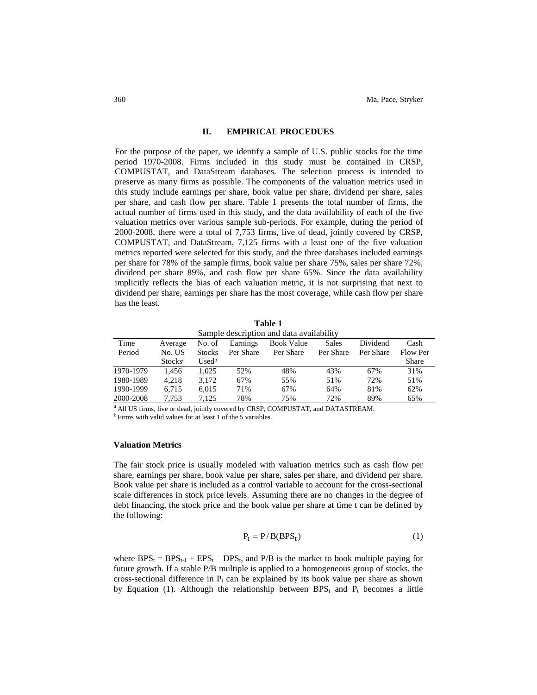## **II. EMPIRICAL PROCEDUES**

For the purpose of the paper, we identify a sample of U.S. public stocks for the time period 1970-2008. Firms included in this study must be contained in CRSP, COMPUSTAT, and DataStream databases. The selection process is intended to preserve as many firms as possible. The components of the valuation metrics used in this study include earnings per share, book value per share, dividend per share, sales per share, and cash flow per share. Table 1 presents the total number of firms, the actual number of firms used in this study, and the data availability of each of the five valuation metrics over various sample sub-periods. For example, during the period of 2000-2008, there were a total of 7,753 firms, live of dead, jointly covered by CRSP, COMPUSTAT, and DataStream, 7,125 firms with a least one of the five valuation metrics reported were selected for this study, and the three databases included earnings per share for 78% of the sample firms, book value per share 75%, sales per share 72%, dividend per share 89%, and cash flow per share 65%. Since the data availability implicitly reflects the bias of each valuation metric, it is not surprising that next to dividend per share, earnings per share has the most coverage, while cash flow per share has the least.

| Sample description and data availability |                            |               |           |                   |           |           |              |  |  |  |  |  |  |
|------------------------------------------|----------------------------|---------------|-----------|-------------------|-----------|-----------|--------------|--|--|--|--|--|--|
| Time                                     | Average                    | No. of        | Earnings  | <b>Book Value</b> | Sales     | Dividend  | Cash         |  |  |  |  |  |  |
| Period                                   | No. US                     | <b>Stocks</b> | Per Share | Per Share         | Per Share | Per Share | Flow Per     |  |  |  |  |  |  |
|                                          | <b>Stocks</b> <sup>a</sup> | $Used^b$      |           |                   |           |           | <b>Share</b> |  |  |  |  |  |  |
| 1970-1979                                | 1.456                      | 1.025         | 52%       | 48%               | 43%       | 67%       | 31%          |  |  |  |  |  |  |
| 1980-1989                                | 4.218                      | 3.172         | 67%       | 55%               | 51%       | 72%       | 51%          |  |  |  |  |  |  |
| 1990-1999                                | 6.715                      | 6.015         | 71%       | 67%               | 64%       | 81%       | 62%          |  |  |  |  |  |  |
| 2000-2008                                | 7.753                      | 7.125         | 78%       | 75%               | 72%       | 89%       | 65%          |  |  |  |  |  |  |

**Table 1**

<sup>a</sup> All US firms, live or dead, jointly covered by CRSP, COMPUSTAT, and DATASTREAM. <sup>b</sup> Firms with valid values for at least 1 of the 5 variables.

## **Valuation Metrics**

The fair stock price is usually modeled with valuation metrics such as cash flow per share, earnings per share, book value per share, sales per share, and dividend per share. Book value per share is included as a control variable to account for the cross-sectional scale differences in stock price levels. Assuming there are no changes in the degree of debt financing, the stock price and the book value per share at time t can be defined by the following:

$$
P_t = P/B(BPS_t)
$$
 (1)

where  $BPS_t = BPS_{t-1} + EPS_t - DPS_t$ , and  $P/B$  is the market to book multiple paying for future growth. If a stable P/B multiple is applied to a homogeneous group of stocks, the cross-sectional difference in  $P_t$  can be explained by its book value per share as shown by Equation (1). Although the relationship between  $BPS_t$  and  $P_t$  becomes a little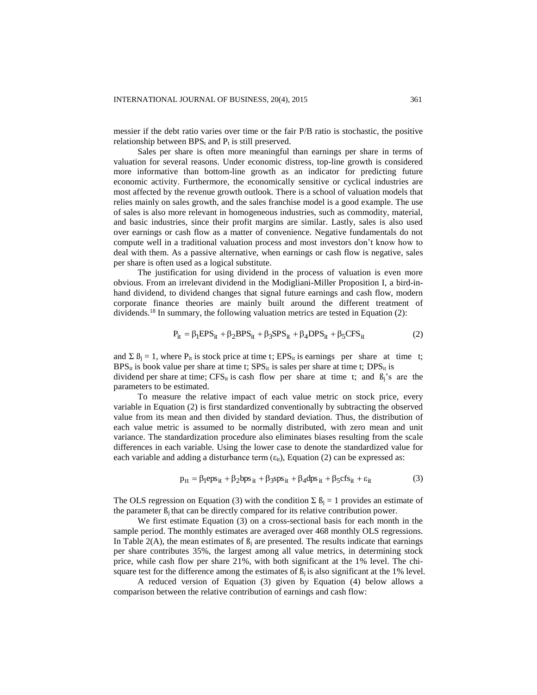messier if the debt ratio varies over time or the fair P/B ratio is stochastic, the positive relationship between  $BPS_t$  and  $P_t$  is still preserved.

Sales per share is often more meaningful than earnings per share in terms of valuation for several reasons. Under economic distress, top-line growth is considered more informative than bottom-line growth as an indicator for predicting future economic activity. Furthermore, the economically sensitive or cyclical industries are most affected by the revenue growth outlook. There is a school of valuation models that relies mainly on sales growth, and the sales franchise model is a good example. The use of sales is also more relevant in homogeneous industries, such as commodity, material, and basic industries, since their profit margins are similar. Lastly, sales is also used over earnings or cash flow as a matter of convenience. Negative fundamentals do not compute well in a traditional valuation process and most investors don't know how to deal with them. As a passive alternative, when earnings or cash flow is negative, sales per share is often used as a logical substitute.

The justification for using dividend in the process of valuation is even more obvious. From an irrelevant dividend in the Modigliani-Miller Proposition I, a bird-inhand dividend, to dividend changes that signal future earnings and cash flow, modern corporate finance theories are mainly built around the different treatment of dividends.<sup>18</sup> In summary, the following valuation metrics are tested in Equation (2):

$$
P_{it} = \beta_1 EPS_{it} + \beta_2 BPS_{it} + \beta_3 SPS_{it} + \beta_4 DPS_{it} + \beta_5 CFS_{it}
$$
 (2)

and  $\Sigma$   $\beta_i = 1$ , where  $P_{it}$  is stock price at time t; EPS<sub>it</sub> is earnings per share at time t;  $BPS_{it}$  is book value per share at time t;  $SPS_{it}$  is sales per share at time t;  $DPS_{it}$  is dividend per share at time;  $CFS_{it}$  is cash flow per share at time t; and  $B_i$ 's are the parameters to be estimated.

To measure the relative impact of each value metric on stock price, every variable in Equation (2) is first standardized conventionally by subtracting the observed value from its mean and then divided by standard deviation. Thus, the distribution of each value metric is assumed to be normally distributed, with zero mean and unit variance. The standardization procedure also eliminates biases resulting from the scale differences in each variable. Using the lower case to denote the standardized value for each variable and adding a disturbance term  $(\epsilon_{it})$ , Equation (2) can be expressed as:

$$
p_{tt} = \beta_1 \text{eps}_{it} + \beta_2 \text{bps}_{it} + \beta_3 \text{sys}_{it} + \beta_4 \text{dps}_{it} + \beta_5 \text{cfs}_{it} + \varepsilon_{it}
$$
(3)

The OLS regression on Equation (3) with the condition  $\sum \beta_i = 1$  provides an estimate of the parameter  $\mathcal{B}_i$  that can be directly compared for its relative contribution power.

We first estimate Equation (3) on a cross-sectional basis for each month in the sample period. The monthly estimates are averaged over 468 monthly OLS regressions. In Table 2(A), the mean estimates of  $\beta_i$  are presented. The results indicate that earnings per share contributes 35%, the largest among all value metrics, in determining stock price, while cash flow per share 21%, with both significant at the 1% level. The chisquare test for the difference among the estimates of  $\beta_i$  is also significant at the 1% level.

A reduced version of Equation (3) given by Equation (4) below allows a comparison between the relative contribution of earnings and cash flow: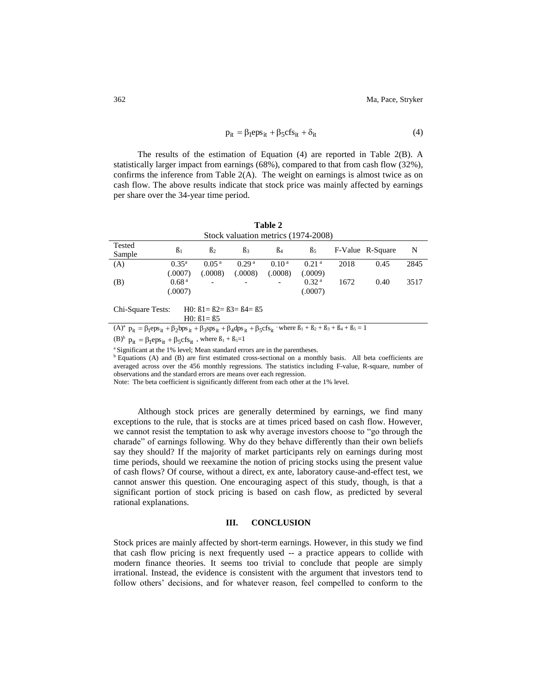$$
p_{it} = \beta_1 \exp \left( \frac{1}{2} \beta_1 \right) + \beta_2 \exp \left( \frac{1}{2} \beta_1 \right) \tag{4}
$$

The results of the estimation of Equation (4) are reported in Table 2(B). A statistically larger impact from earnings (68%), compared to that from cash flow (32%), confirms the inference from Table 2(A). The weight on earnings is almost twice as on cash flow. The above results indicate that stock price was mainly affected by earnings per share over the 34-year time period.

**Table 2** Stock valuation metrics (1974-2008)

| 1 CSIVY<br>Sample | $\beta_1$         | ß2                       | ßз                       | $B_4$                    | B <sub>5</sub>    |      | F-Value R-Square | N    |
|-------------------|-------------------|--------------------------|--------------------------|--------------------------|-------------------|------|------------------|------|
| (A)               | $0.35^{\rm a}$    | 0.05 <sup>a</sup>        | 0.29 <sup>a</sup>        | 0.10 <sup>a</sup>        | 0.21 <sup>a</sup> | 2018 | 0.45             | 2845 |
|                   | (.0007)           | (.0008)                  | (.0008)                  | (.0008)                  | (.0009)           |      |                  |      |
| (B)               | 0.68 <sup>a</sup> | $\overline{\phantom{a}}$ | $\overline{\phantom{a}}$ | $\overline{\phantom{0}}$ | 0.32 <sup>a</sup> | 1672 | 0.40             | 3517 |
|                   | (.0007)           |                          |                          |                          | (.0007)           |      |                  |      |
|                   |                   |                          |                          |                          |                   |      |                  |      |

Chi-Square Tests: H0: ß1= ß2= ß3= ß4= ß5 H0: ß1= ß5

 $(A)^{a}$   $p_{it} = \beta_1 eps_{it} + \beta_2 bps_{it} + \beta_3 sps_{it} + \beta_4 dps_{it} + \beta_5 cfs_{it}$  where  $\beta_1 + \beta_2 + \beta_3 + \beta_4 + \beta_5 = 1$ 

 $(B)^b$   $p_{it} = \beta_1 eps_{it} + \beta_5 cfs_{it}$ , where  $\beta_1 + \beta_5 = 1$ 

<sup>a</sup> Significant at the 1% level; Mean standard errors are in the parentheses.

<sup>b</sup> Equations (A) and (B) are first estimated cross-sectional on a monthly basis. All beta coefficients are averaged across over the 456 monthly regressions. The statistics including F-value, R-square, number of observations and the standard errors are means over each regression.

Note: The beta coefficient is significantly different from each other at the 1% level.

Although stock prices are generally determined by earnings, we find many exceptions to the rule, that is stocks are at times priced based on cash flow. However, we cannot resist the temptation to ask why average investors choose to "go through the charade" of earnings following. Why do they behave differently than their own beliefs say they should? If the majority of market participants rely on earnings during most time periods, should we reexamine the notion of pricing stocks using the present value of cash flows? Of course, without a direct, ex ante, laboratory cause-and-effect test, we cannot answer this question. One encouraging aspect of this study, though, is that a significant portion of stock pricing is based on cash flow, as predicted by several rational explanations.

## **III. CONCLUSION**

Stock prices are mainly affected by short-term earnings. However, in this study we find that cash flow pricing is next frequently used -- a practice appears to collide with modern finance theories. It seems too trivial to conclude that people are simply irrational. Instead, the evidence is consistent with the argument that investors tend to follow others' decisions, and for whatever reason, feel compelled to conform to the

Tested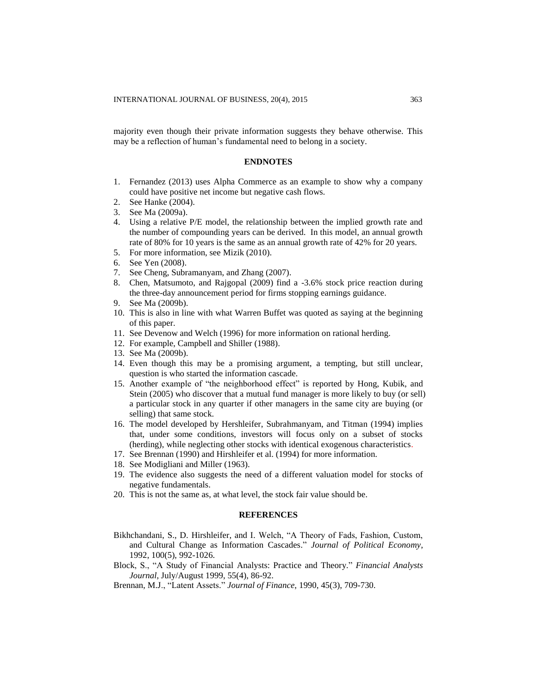majority even though their private information suggests they behave otherwise. This may be a reflection of human's fundamental need to belong in a society.

## **ENDNOTES**

- 1. Fernandez (2013) uses Alpha Commerce as an example to show why a company could have positive net income but negative cash flows.
- 2. See Hanke (2004).
- 3. See Ma (2009a).
- 4. Using a relative P/E model, the relationship between the implied growth rate and the number of compounding years can be derived. In this model, an annual growth rate of 80% for 10 years is the same as an annual growth rate of 42% for 20 years.
- 5. For more information, see Mizik (2010).
- 6. See Yen (2008).
- 7. See Cheng, Subramanyam, and Zhang (2007).
- 8. Chen, Matsumoto, and Rajgopal (2009) find a -3.6% stock price reaction during the three-day announcement period for firms stopping earnings guidance.
- See Ma (2009b).
- 10. This is also in line with what Warren Buffet was quoted as saying at the beginning of this paper.
- 11. See Devenow and Welch (1996) for more information on rational herding.
- 12. For example, Campbell and Shiller (1988).
- 13. See Ma (2009b).
- 14. Even though this may be a promising argument, a tempting, but still unclear, question is who started the information cascade.
- 15. Another example of "the neighborhood effect" is reported by Hong, Kubik, and Stein (2005) who discover that a mutual fund manager is more likely to buy (or sell) a particular stock in any quarter if other managers in the same city are buying (or selling) that same stock.
- 16. The model developed by Hershleifer, Subrahmanyam, and Titman (1994) implies that, under some conditions, investors will focus only on a subset of stocks (herding), while neglecting other stocks with identical exogenous characteristics.
- 17. See Brennan (1990) and Hirshleifer et al. (1994) for more information.
- 18. See Modigliani and Miller (1963).
- 19. The evidence also suggests the need of a different valuation model for stocks of negative fundamentals.
- 20. This is not the same as, at what level, the stock fair value should be.

#### **REFERENCES**

- Bikhchandani, S., D. Hirshleifer, and I. Welch, "A Theory of Fads, Fashion, Custom, and Cultural Change as Information Cascades." *Journal of Political Economy*, 1992, 100(5), 992-1026.
- Block, S., "A Study of Financial Analysts: Practice and Theory." *Financial Analysts Journal*, July/August 1999, 55(4), 86-92.
- Brennan, M.J., "Latent Assets." *Journal of Finance*, 1990, 45(3), 709-730.